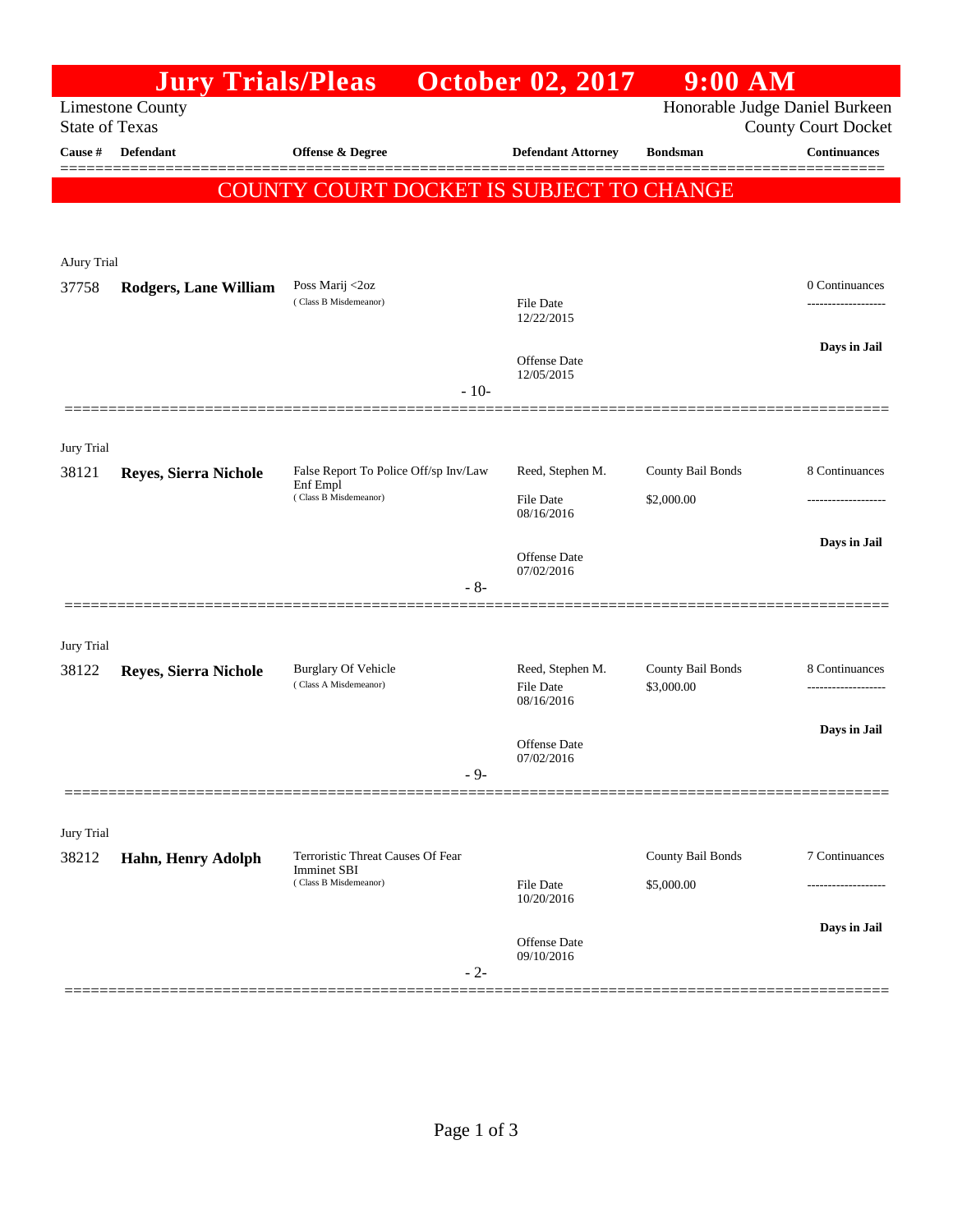|                                                                                                                  | <b>Jury Trials/Pleas</b>     |                                                     | <b>October 02, 2017</b>              | $9:00$ AM                       |                                      |  |  |
|------------------------------------------------------------------------------------------------------------------|------------------------------|-----------------------------------------------------|--------------------------------------|---------------------------------|--------------------------------------|--|--|
| Honorable Judge Daniel Burkeen<br><b>Limestone County</b><br><b>State of Texas</b><br><b>County Court Docket</b> |                              |                                                     |                                      |                                 |                                      |  |  |
| Cause #                                                                                                          | Defendant                    | <b>Offense &amp; Degree</b>                         | <b>Defendant Attorney</b>            | <b>Bondsman</b>                 | <b>Continuances</b>                  |  |  |
|                                                                                                                  |                              |                                                     |                                      |                                 |                                      |  |  |
|                                                                                                                  |                              | COUNTY COURT DOCKET IS SUBJECT TO CHANGE            |                                      |                                 |                                      |  |  |
|                                                                                                                  |                              |                                                     |                                      |                                 |                                      |  |  |
| AJury Trial                                                                                                      |                              |                                                     |                                      |                                 |                                      |  |  |
| 37758                                                                                                            | <b>Rodgers, Lane William</b> | Poss Marij <2oz<br>(Class B Misdemeanor)            | File Date                            |                                 | 0 Continuances<br>------------------ |  |  |
|                                                                                                                  |                              |                                                     | 12/22/2015                           |                                 |                                      |  |  |
|                                                                                                                  |                              |                                                     | <b>Offense</b> Date                  |                                 | Days in Jail                         |  |  |
|                                                                                                                  |                              | $-10-$                                              | 12/05/2015                           |                                 |                                      |  |  |
|                                                                                                                  |                              |                                                     |                                      |                                 |                                      |  |  |
| Jury Trial                                                                                                       |                              |                                                     |                                      |                                 |                                      |  |  |
| 38121                                                                                                            | Reyes, Sierra Nichole        | False Report To Police Off/sp Inv/Law               | Reed, Stephen M.                     | County Bail Bonds               | 8 Continuances                       |  |  |
|                                                                                                                  |                              | Enf Empl<br>(Class B Misdemeanor)                   | File Date                            | \$2,000.00                      |                                      |  |  |
|                                                                                                                  |                              |                                                     | 08/16/2016                           |                                 |                                      |  |  |
|                                                                                                                  |                              |                                                     | <b>Offense</b> Date<br>07/02/2016    |                                 | Days in Jail                         |  |  |
|                                                                                                                  |                              | $-8-$                                               |                                      |                                 |                                      |  |  |
|                                                                                                                  |                              |                                                     |                                      |                                 |                                      |  |  |
| Jury Trial                                                                                                       |                              |                                                     |                                      |                                 |                                      |  |  |
| 38122                                                                                                            | Reyes, Sierra Nichole        | <b>Burglary Of Vehicle</b><br>(Class A Misdemeanor) | Reed, Stephen M.<br><b>File Date</b> | County Bail Bonds<br>\$3,000.00 | 8 Continuances<br>.                  |  |  |
|                                                                                                                  |                              |                                                     | 08/16/2016                           |                                 |                                      |  |  |
|                                                                                                                  |                              |                                                     | Offense Date                         |                                 | Days in Jail                         |  |  |
|                                                                                                                  |                              | $-9-$                                               | 07/02/2016                           |                                 |                                      |  |  |
|                                                                                                                  |                              |                                                     |                                      |                                 |                                      |  |  |
| Jury Trial                                                                                                       |                              |                                                     |                                      |                                 |                                      |  |  |
| 38212                                                                                                            | Hahn, Henry Adolph           | Terroristic Threat Causes Of Fear                   |                                      | County Bail Bonds               | 7 Continuances                       |  |  |
|                                                                                                                  |                              | <b>Imminet SBI</b><br>(Class B Misdemeanor)         | File Date                            | \$5,000.00                      |                                      |  |  |
|                                                                                                                  |                              |                                                     | 10/20/2016                           |                                 |                                      |  |  |
|                                                                                                                  |                              |                                                     | Offense Date                         |                                 | Days in Jail                         |  |  |
|                                                                                                                  |                              | $-2-$                                               | 09/10/2016                           |                                 |                                      |  |  |
|                                                                                                                  |                              |                                                     |                                      |                                 |                                      |  |  |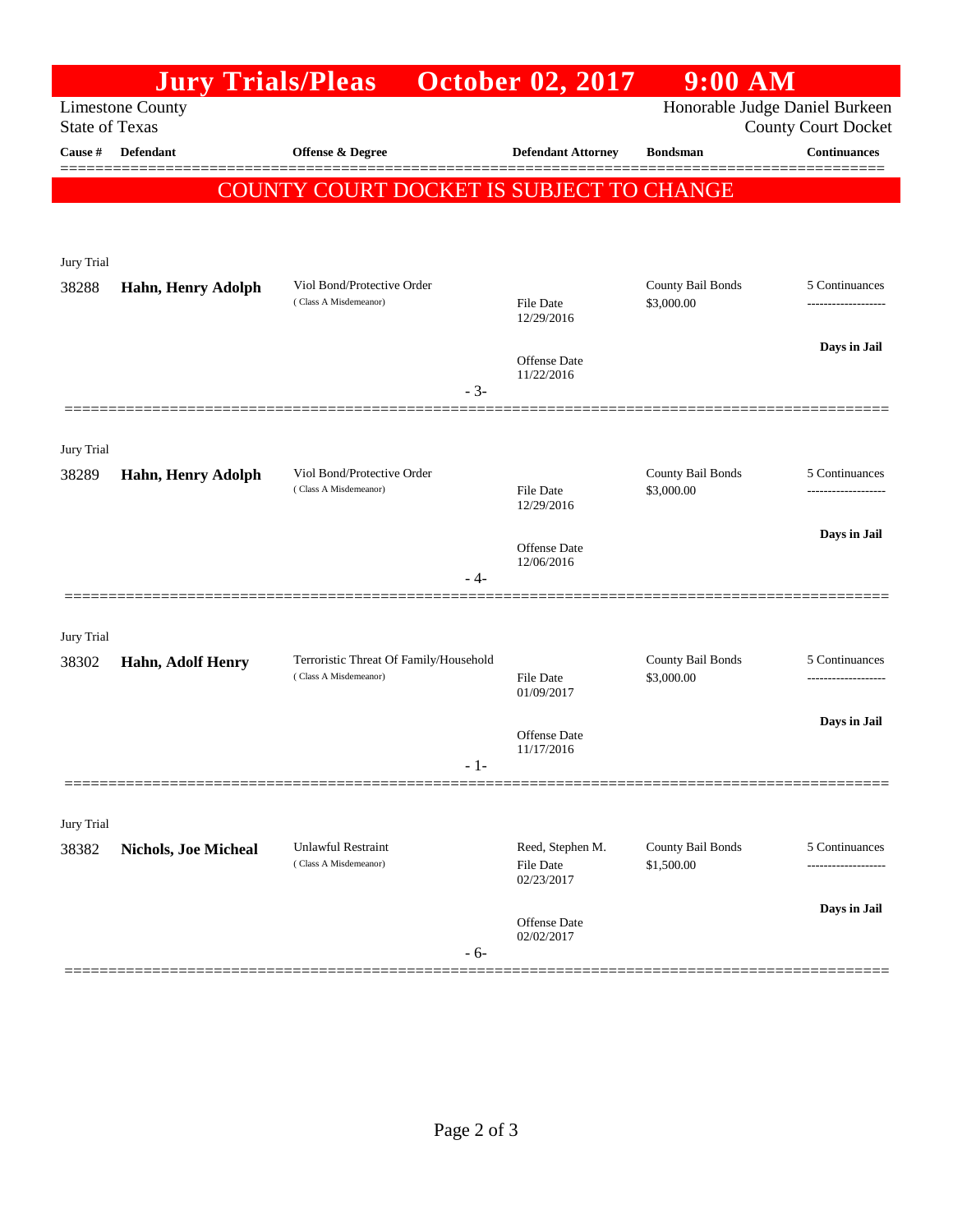|                                                  | <b>Jury Trials/Pleas</b>    |                                                                 | <b>October 02, 2017</b>        | $9:00$ AM                       |                                                              |
|--------------------------------------------------|-----------------------------|-----------------------------------------------------------------|--------------------------------|---------------------------------|--------------------------------------------------------------|
| <b>Limestone County</b><br><b>State of Texas</b> |                             |                                                                 |                                |                                 | Honorable Judge Daniel Burkeen<br><b>County Court Docket</b> |
| Cause #                                          | Defendant                   | <b>Offense &amp; Degree</b>                                     | <b>Defendant Attorney</b>      | <b>Bondsman</b>                 | <b>Continuances</b>                                          |
|                                                  |                             | COUNTY COURT DOCKET IS SUBJECT TO CHANGE                        |                                |                                 |                                                              |
|                                                  |                             |                                                                 |                                |                                 |                                                              |
| Jury Trial                                       |                             |                                                                 |                                |                                 |                                                              |
| 38288                                            | Hahn, Henry Adolph          | Viol Bond/Protective Order<br>(Class A Misdemeanor)             | File Date                      | County Bail Bonds<br>\$3,000.00 | 5 Continuances                                               |
|                                                  |                             |                                                                 | 12/29/2016                     |                                 |                                                              |
|                                                  |                             |                                                                 | Offense Date                   |                                 | Days in Jail                                                 |
|                                                  |                             | $-3-$                                                           | 11/22/2016                     |                                 |                                                              |
|                                                  |                             |                                                                 |                                |                                 |                                                              |
| Jury Trial<br>38289                              | Hahn, Henry Adolph          | Viol Bond/Protective Order                                      |                                | County Bail Bonds               | 5 Continuances                                               |
|                                                  |                             | (Class A Misdemeanor)                                           | <b>File Date</b><br>12/29/2016 | \$3,000.00                      |                                                              |
|                                                  |                             |                                                                 | Offense Date                   |                                 | Days in Jail                                                 |
|                                                  |                             | - 4-                                                            | 12/06/2016                     |                                 |                                                              |
|                                                  |                             |                                                                 |                                |                                 |                                                              |
| Jury Trial                                       |                             |                                                                 |                                |                                 |                                                              |
| 38302                                            | Hahn, Adolf Henry           | Terroristic Threat Of Family/Household<br>(Class A Misdemeanor) | <b>File Date</b>               | County Bail Bonds<br>\$3,000.00 | 5 Continuances<br>---------------                            |
|                                                  |                             |                                                                 | 01/09/2017                     |                                 | Days in Jail                                                 |
|                                                  |                             |                                                                 | Offense Date<br>11/17/2016     |                                 |                                                              |
|                                                  |                             | - 1-                                                            |                                |                                 |                                                              |
| Jury Trial                                       |                             |                                                                 |                                |                                 |                                                              |
| 38382                                            | <b>Nichols, Joe Micheal</b> | <b>Unlawful Restraint</b><br>(Class A Misdemeanor)              | Reed, Stephen M.               | County Bail Bonds               | 5 Continuances                                               |
|                                                  |                             |                                                                 | File Date<br>02/23/2017        | \$1,500.00                      |                                                              |
|                                                  |                             |                                                                 | Offense Date                   |                                 | Days in Jail                                                 |
|                                                  |                             | - 6-                                                            | 02/02/2017                     |                                 |                                                              |